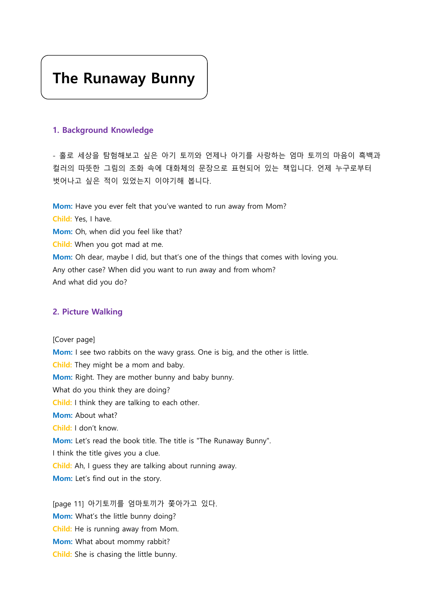# The Runaway Bunny

#### 1. Background Knowledge

- 홀로 세상을 탐험해보고 싶은 아기 토끼와 언제나 아기를 사랑하는 엄마 토끼의 마음이 흑백과 컬러의 따뜻한 그림의 조화 속에 대화체의 문장으로 표현되어 있는 책입니다. 언제 누구로부터 벗어나고 싶은 적이 있었는지 이야기해 봅니다.

Mom: Have you ever felt that you've wanted to run away from Mom? Child: Yes, I have. Mom: Oh, when did you feel like that? Child: When you got mad at me. Mom: Oh dear, maybe I did, but that's one of the things that comes with loving you. Any other case? When did you want to run away and from whom? And what did you do?

#### 2. Picture Walking

[Cover page] Mom: I see two rabbits on the wavy grass. One is big, and the other is little. Child: They might be a mom and baby. Mom: Right. They are mother bunny and baby bunny. What do you think they are doing? Child: I think they are talking to each other. Mom: About what? Child: I don't know. Mom: Let's read the book title. The title is "The Runaway Bunny". I think the title gives you a clue. Child: Ah, I guess they are talking about running away. Mom: Let's find out in the story.

[page 11] 아기토끼를 엄마토끼가 쫓아가고 있다. Mom: What's the little bunny doing? Child: He is running away from Mom. Mom: What about mommy rabbit? Child: She is chasing the little bunny.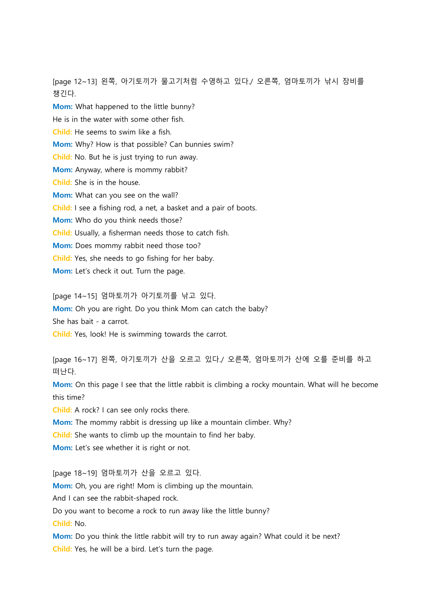[page 12~13] 왼쪽, 아기토끼가 물고기처럼 수영하고 있다./ 오른쪽, 엄마토끼가 낚시 장비를 챙긴다.

Mom: What happened to the little bunny? He is in the water with some other fish. Child: He seems to swim like a fish. Mom: Why? How is that possible? Can bunnies swim? Child: No. But he is just trying to run away. Mom: Anyway, where is mommy rabbit? Child: She is in the house. Mom: What can you see on the wall? Child: I see a fishing rod, a net, a basket and a pair of boots. Mom: Who do you think needs those? Child: Usually, a fisherman needs those to catch fish. Mom: Does mommy rabbit need those too? Child: Yes, she needs to go fishing for her baby. Mom: Let's check it out. Turn the page.

[page 14~15] 엄마토끼가 아기토끼를 낚고 있다.

Mom: Oh you are right. Do you think Mom can catch the baby?

She has bait - a carrot.

Child: Yes, look! He is swimming towards the carrot.

[page 16~17] 왼쪽, 아기토끼가 산을 오르고 있다./ 오른쪽, 엄마토끼가 산에 오를 준비를 하고 떠난다.

Mom: On this page I see that the little rabbit is climbing a rocky mountain. What will he become this time?

Child: A rock? I can see only rocks there.

Mom: The mommy rabbit is dressing up like a mountain climber. Why?

Child: She wants to climb up the mountain to find her baby.

Mom: Let's see whether it is right or not.

[page 18~19] 엄마토끼가 산을 오르고 있다.

Mom: Oh, you are right! Mom is climbing up the mountain.

And I can see the rabbit-shaped rock.

Do you want to become a rock to run away like the little bunny?

Child: No.

Mom: Do you think the little rabbit will try to run away again? What could it be next? Child: Yes, he will be a bird. Let's turn the page.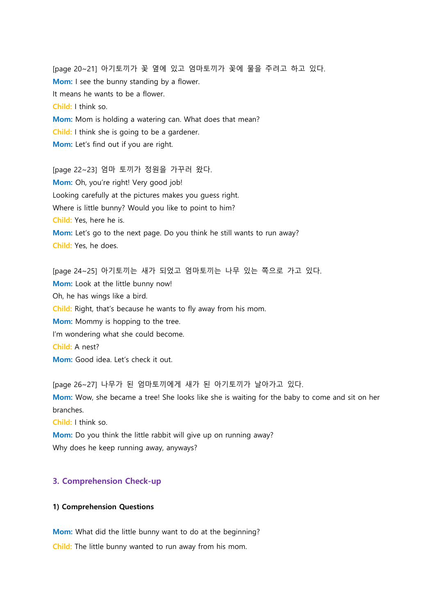[page 20~21] 아기토끼가 꽃 옆에 있고 엄마토끼가 꽃에 물을 주려고 하고 있다. Mom: I see the bunny standing by a flower. It means he wants to be a flower. Child: I think so. Mom: Mom is holding a watering can. What does that mean? Child: I think she is going to be a gardener. Mom: Let's find out if you are right.

[page 22~23] 엄마 토끼가 정원을 가꾸러 왔다. Mom: Oh, you're right! Very good job! Looking carefully at the pictures makes you guess right. Where is little bunny? Would you like to point to him? Child: Yes, here he is. Mom: Let's go to the next page. Do you think he still wants to run away? Child: Yes, he does.

[page 24~25] 아기토끼는 새가 되었고 엄마토끼는 나무 있는 쪽으로 가고 있다. Mom: Look at the little bunny now! Oh, he has wings like a bird. Child: Right, that's because he wants to fly away from his mom. Mom: Mommy is hopping to the tree. I'm wondering what she could become. Child: A nest? Mom: Good idea. Let's check it out.

[page 26~27] 나무가 된 엄마토끼에게 새가 된 아기토끼가 날아가고 있다. Mom: Wow, she became a tree! She looks like she is waiting for the baby to come and sit on her branches.

Child: I think so.

Mom: Do you think the little rabbit will give up on running away? Why does he keep running away, anyways?

#### 3. Comprehension Check-up

#### 1) Comprehension Questions

Mom: What did the little bunny want to do at the beginning? Child: The little bunny wanted to run away from his mom.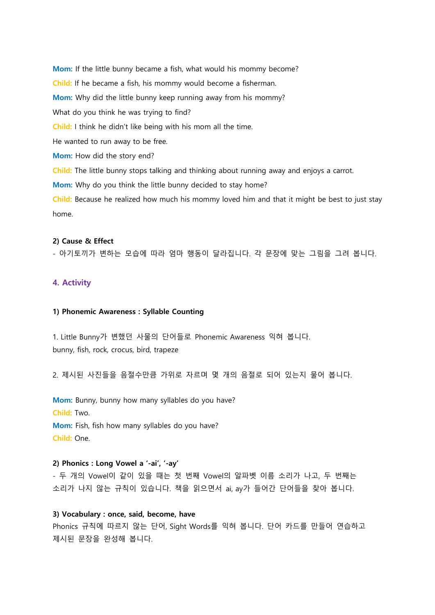Mom: If the little bunny became a fish, what would his mommy become? Child: If he became a fish, his mommy would become a fisherman. Mom: Why did the little bunny keep running away from his mommy? What do you think he was trying to find? Child: I think he didn't like being with his mom all the time. He wanted to run away to be free. Mom: How did the story end? Child: The little bunny stops talking and thinking about running away and enjoys a carrot. Mom: Why do you think the little bunny decided to stay home? Child: Because he realized how much his mommy loved him and that it might be best to just stay home.

#### 2) Cause & Effect

- 아기토끼가 변하는 모습에 따라 엄마 행동이 달라집니다. 각 문장에 맞는 그림을 그려 봅니다.

### 4. Activity

#### 1) Phonemic Awareness : Syllable Counting

1. Little Bunny가 변했던 사물의 단어들로 Phonemic Awareness 익혀 봅니다. bunny, fish, rock, crocus, bird, trapeze

2. 제시된 사진들을 음절수만큼 가위로 자르며 몇 개의 음절로 되어 있는지 물어 봅니다.

Mom: Bunny, bunny how many syllables do you have? Child: Two. Mom: Fish, fish how many syllables do you have? Child: One.

#### 2) Phonics : Long Vowel a '-ai', '-ay'

- 두 개의 Vowel이 같이 있을 때는 첫 번째 Vowel의 알파벳 이름 소리가 나고, 두 번째는 소리가 나지 않는 규칙이 있습니다. 책을 읽으면서 ai, ay가 들어간 단어들을 찾아 봅니다.

#### 3) Vocabulary : once, said, become, have

Phonics 규칙에 따르지 않는 단어, Sight Words를 익혀 봅니다. 단어 카드를 만들어 연습하고 제시된 문장을 완성해 봅니다.